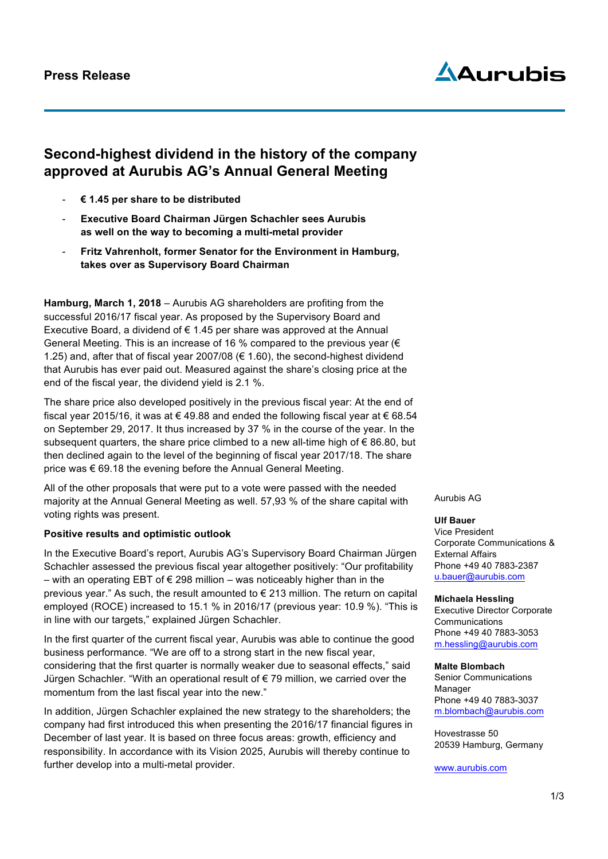

# **Second-highest dividend in the history of the company approved at Aurubis AG's Annual General Meeting**

- **€ 1.45 per share to be distributed**
- **Executive Board Chairman Jürgen Schachler sees Aurubis as well on the way to becoming a multi-metal provider**
- **Fritz Vahrenholt, former Senator for the Environment in Hamburg, takes over as Supervisory Board Chairman**

**Hamburg, March 1, 2018** – Aurubis AG shareholders are profiting from the successful 2016/17 fiscal year. As proposed by the Supervisory Board and Executive Board, a dividend of  $\epsilon$  1.45 per share was approved at the Annual General Meeting. This is an increase of 16 % compared to the previous year ( $\in$ 1.25) and, after that of fiscal year 2007/08 ( $\epsilon$  1.60), the second-highest dividend that Aurubis has ever paid out. Measured against the share's closing price at the end of the fiscal year, the dividend yield is 2.1 %.

The share price also developed positively in the previous fiscal year: At the end of fiscal year 2015/16, it was at € 49.88 and ended the following fiscal year at € 68.54 on September 29, 2017. It thus increased by 37 % in the course of the year. In the subsequent quarters, the share price climbed to a new all-time high of  $\epsilon$  86.80, but then declined again to the level of the beginning of fiscal year 2017/18. The share price was € 69.18 the evening before the Annual General Meeting.

All of the other proposals that were put to a vote were passed with the needed majority at the Annual General Meeting as well. 57,93 % of the share capital with voting rights was present.

### **Positive results and optimistic outlook**

In the Executive Board's report, Aurubis AG's Supervisory Board Chairman Jürgen Schachler assessed the previous fiscal year altogether positively: "Our profitability – with an operating EBT of € 298 million – was noticeably higher than in the previous year." As such, the result amounted to € 213 million. The return on capital employed (ROCE) increased to 15.1 % in 2016/17 (previous year: 10.9 %). "This is in line with our targets," explained Jürgen Schachler.

In the first quarter of the current fiscal year, Aurubis was able to continue the good business performance. "We are off to a strong start in the new fiscal year, considering that the first quarter is normally weaker due to seasonal effects," said Jürgen Schachler. "With an operational result of € 79 million, we carried over the momentum from the last fiscal year into the new."

In addition, Jürgen Schachler explained the new strategy to the shareholders; the company had first introduced this when presenting the 2016/17 financial figures in December of last year. It is based on three focus areas: growth, efficiency and responsibility. In accordance with its Vision 2025, Aurubis will thereby continue to further develop into a multi-metal provider.

Aurubis AG

#### **Ulf Bauer**

Vice President Corporate Communications & External Affairs Phone +49 40 7883-2387 u.bauer@aurubis.com

#### **Michaela Hessling**

Executive Director Corporate **Communications** Phone +49 40 7883-3053 m.hessling@aurubis.com

#### **Malte Blombach**

Senior Communications Manager Phone +49 40 7883-3037 m.blombach@aurubis.com

Hovestrasse 50 20539 Hamburg, Germany

www.aurubis.com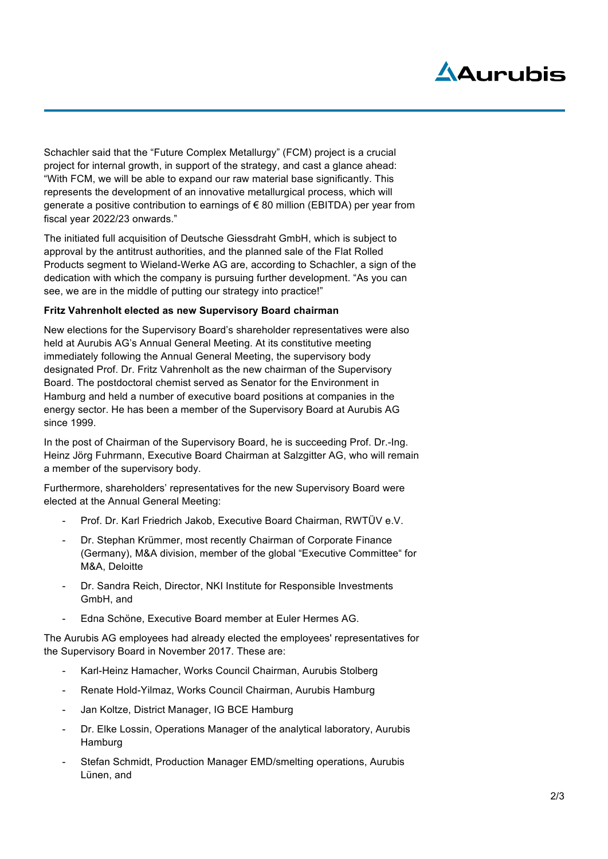# Adurubis

Schachler said that the "Future Complex Metallurgy" (FCM) project is a crucial project for internal growth, in support of the strategy, and cast a glance ahead: "With FCM, we will be able to expand our raw material base significantly. This represents the development of an innovative metallurgical process, which will generate a positive contribution to earnings of  $\epsilon$  80 million (EBITDA) per year from fiscal year 2022/23 onwards."

The initiated full acquisition of Deutsche Giessdraht GmbH, which is subject to approval by the antitrust authorities, and the planned sale of the Flat Rolled Products segment to Wieland-Werke AG are, according to Schachler, a sign of the dedication with which the company is pursuing further development. "As you can see, we are in the middle of putting our strategy into practice!"

## **Fritz Vahrenholt elected as new Supervisory Board chairman**

New elections for the Supervisory Board's shareholder representatives were also held at Aurubis AG's Annual General Meeting. At its constitutive meeting immediately following the Annual General Meeting, the supervisory body designated Prof. Dr. Fritz Vahrenholt as the new chairman of the Supervisory Board. The postdoctoral chemist served as Senator for the Environment in Hamburg and held a number of executive board positions at companies in the energy sector. He has been a member of the Supervisory Board at Aurubis AG since 1999.

In the post of Chairman of the Supervisory Board, he is succeeding Prof. Dr.-Ing. Heinz Jörg Fuhrmann, Executive Board Chairman at Salzgitter AG, who will remain a member of the supervisory body.

Furthermore, shareholders' representatives for the new Supervisory Board were elected at the Annual General Meeting:

- Prof. Dr. Karl Friedrich Jakob, Executive Board Chairman, RWTÜV e.V.
- Dr. Stephan Krümmer, most recently Chairman of Corporate Finance (Germany), M&A division, member of the global "Executive Committee" for M&A, Deloitte
- Dr. Sandra Reich, Director, NKI Institute for Responsible Investments GmbH, and
- Edna Schöne, Executive Board member at Euler Hermes AG.

The Aurubis AG employees had already elected the employees' representatives for the Supervisory Board in November 2017. These are:

- Karl-Heinz Hamacher, Works Council Chairman, Aurubis Stolberg
- Renate Hold-Yilmaz, Works Council Chairman, Aurubis Hamburg
- Jan Koltze, District Manager, IG BCE Hamburg
- Dr. Elke Lossin, Operations Manager of the analytical laboratory, Aurubis **Hamburg**
- Stefan Schmidt, Production Manager EMD/smelting operations, Aurubis Lünen, and